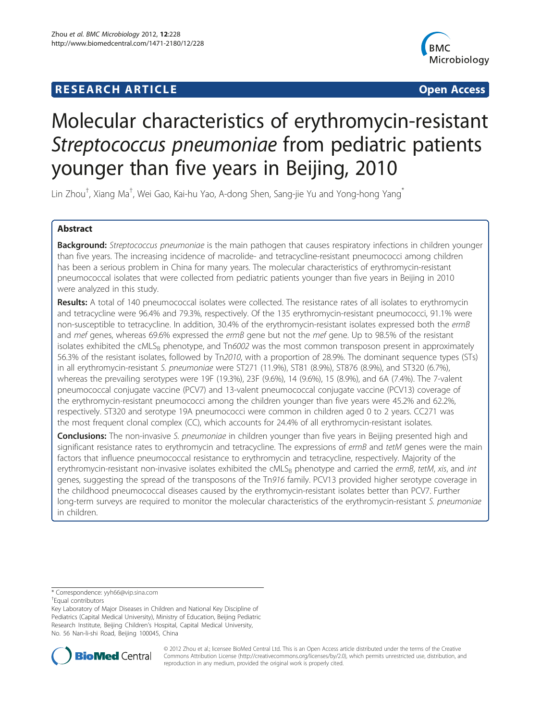# **RESEARCH ARTICLE Example 2014 12:30 THE Open Access**



# Molecular characteristics of erythromycin-resistant Streptococcus pneumoniae from pediatric patients younger than five years in Beijing, 2010

Lin Zhou<sup>†</sup>, Xiang Ma<sup>†</sup>, Wei Gao, Kai-hu Yao, A-dong Shen, Sang-jie Yu and Yong-hong Yang<sup>\*</sup>

# Abstract

Background: Streptococcus pneumoniae is the main pathogen that causes respiratory infections in children younger than five years. The increasing incidence of macrolide- and tetracycline-resistant pneumococci among children has been a serious problem in China for many years. The molecular characteristics of erythromycin-resistant pneumococcal isolates that were collected from pediatric patients younger than five years in Beijing in 2010 were analyzed in this study.

Results: A total of 140 pneumococcal isolates were collected. The resistance rates of all isolates to erythromycin and tetracycline were 96.4% and 79.3%, respectively. Of the 135 erythromycin-resistant pneumococci, 91.1% were non-susceptible to tetracycline. In addition, 30.4% of the erythromycin-resistant isolates expressed both the ermB and mef genes, whereas 69.6% expressed the ermB gene but not the mef gene. Up to 98.5% of the resistant isolates exhibited the  $\text{cMLS}_B$  phenotype, and Tn6002 was the most common transposon present in approximately 56.3% of the resistant isolates, followed by Tn2010, with a proportion of 28.9%. The dominant sequence types (STs) in all erythromycin-resistant S. pneumoniae were ST271 (11.9%), ST81 (8.9%), ST876 (8.9%), and ST320 (6.7%), whereas the prevailing serotypes were 19F (19.3%), 23F (9.6%), 14 (9.6%), 15 (8.9%), and 6A (7.4%). The 7-valent pneumococcal conjugate vaccine (PCV7) and 13-valent pneumococcal conjugate vaccine (PCV13) coverage of the erythromycin-resistant pneumococci among the children younger than five years were 45.2% and 62.2%, respectively. ST320 and serotype 19A pneumococci were common in children aged 0 to 2 years. CC271 was the most frequent clonal complex (CC), which accounts for 24.4% of all erythromycin-resistant isolates.

**Conclusions:** The non-invasive S. pneumoniae in children younger than five years in Beijing presented high and significant resistance rates to erythromycin and tetracycline. The expressions of ermB and tetM genes were the main factors that influence pneumococcal resistance to erythromycin and tetracycline, respectively. Majority of the erythromycin-resistant non-invasive isolates exhibited the cMLS<sub>B</sub> phenotype and carried the ermB, tetM, xis, and int genes, suggesting the spread of the transposons of the Tn916 family. PCV13 provided higher serotype coverage in the childhood pneumococcal diseases caused by the erythromycin-resistant isolates better than PCV7. Further long-term surveys are required to monitor the molecular characteristics of the erythromycin-resistant S. pneumoniae in children.

Key Laboratory of Major Diseases in Children and National Key Discipline of Pediatrics (Capital Medical University), Ministry of Education, Beijing Pediatric Research Institute, Beijing Children's Hospital, Capital Medical University, No. 56 Nan-li-shi Road, Beijing 100045, China



© 2012 Zhou et al.; licensee BioMed Central Ltd. This is an Open Access article distributed under the terms of the Creative Commons Attribution License [\(http://creativecommons.org/licenses/by/2.0\)](http://creativecommons.org/licenses/by/2.0), which permits unrestricted use, distribution, and reproduction in any medium, provided the original work is properly cited.

<sup>\*</sup> Correspondence: [yyh66@vip.sina.com](mailto:yyh66@vip.sina.com) †

Equal contributors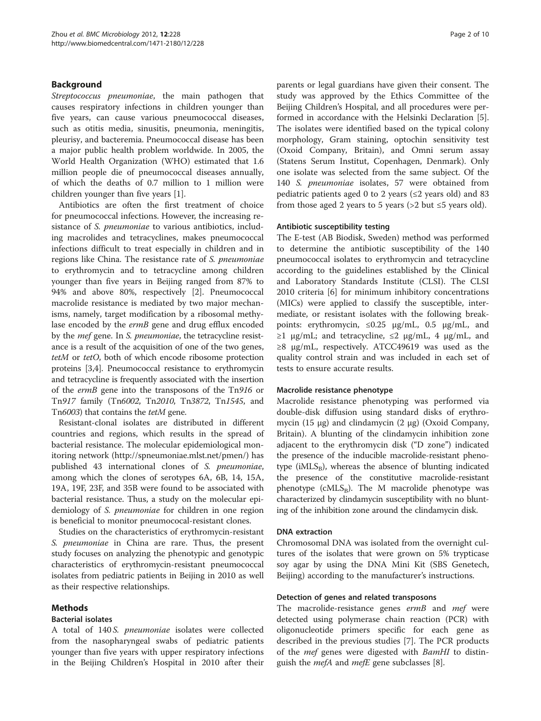# Background

Streptococcus pneumoniae, the main pathogen that causes respiratory infections in children younger than five years, can cause various pneumococcal diseases, such as otitis media, sinusitis, pneumonia, meningitis, pleurisy, and bacteremia. Pneumococcal disease has been a major public health problem worldwide. In 2005, the World Health Organization (WHO) estimated that 1.6 million people die of pneumococcal diseases annually, of which the deaths of 0.7 million to 1 million were children younger than five years [\[1](#page-8-0)].

Antibiotics are often the first treatment of choice for pneumococcal infections. However, the increasing resistance of S. pneumoniae to various antibiotics, including macrolides and tetracyclines, makes pneumococcal infections difficult to treat especially in children and in regions like China. The resistance rate of S. pneumoniae to erythromycin and to tetracycline among children younger than five years in Beijing ranged from 87% to 94% and above 80%, respectively [\[2](#page-8-0)]. Pneumococcal macrolide resistance is mediated by two major mechanisms, namely, target modification by a ribosomal methylase encoded by the ermB gene and drug efflux encoded by the mef gene. In S. pneumoniae, the tetracycline resistance is a result of the acquisition of one of the two genes, tetM or tetO, both of which encode ribosome protection proteins [[3,4\]](#page-8-0). Pneumococcal resistance to erythromycin and tetracycline is frequently associated with the insertion of the ermB gene into the transposons of the Tn916 or Tn917 family (Tn6002, Tn2010, Tn3872, Tn1545, and Tn6003) that contains the tetM gene.

Resistant-clonal isolates are distributed in different countries and regions, which results in the spread of bacterial resistance. The molecular epidemiological monitoring network [\(http://spneumoniae.mlst.net/pmen/\)](http://spneumoniae.mlst.net/pmen/) has published 43 international clones of S. pneumoniae, among which the clones of serotypes 6A, 6B, 14, 15A, 19A, 19F, 23F, and 35B were found to be associated with bacterial resistance. Thus, a study on the molecular epidemiology of S. pneumoniae for children in one region is beneficial to monitor pneumococal-resistant clones.

Studies on the characteristics of erythromycin-resistant S. pneumoniae in China are rare. Thus, the present study focuses on analyzing the phenotypic and genotypic characteristics of erythromycin-resistant pneumococcal isolates from pediatric patients in Beijing in 2010 as well as their respective relationships.

### Methods

### Bacterial isolates

A total of 140 S. *pneumoniae* isolates were collected from the nasopharyngeal swabs of pediatric patients younger than five years with upper respiratory infections in the Beijing Children's Hospital in 2010 after their parents or legal guardians have given their consent. The study was approved by the Ethics Committee of the Beijing Children's Hospital, and all procedures were performed in accordance with the Helsinki Declaration [\[5](#page-8-0)]. The isolates were identified based on the typical colony morphology, Gram staining, optochin sensitivity test (Oxoid Company, Britain), and Omni serum assay (Statens Serum Institut, Copenhagen, Denmark). Only one isolate was selected from the same subject. Of the 140 S. pneumoniae isolates, 57 were obtained from pediatric patients aged 0 to 2 years ( $\leq$ 2 years old) and 83 from those aged 2 years to 5 years (>2 but  $\leq$ 5 years old).

#### Antibiotic susceptibility testing

The E-test (AB Biodisk, Sweden) method was performed to determine the antibiotic susceptibility of the 140 pneumococcal isolates to erythromycin and tetracycline according to the guidelines established by the Clinical and Laboratory Standards Institute (CLSI). The CLSI 2010 criteria [[6\]](#page-8-0) for minimum inhibitory concentrations (MICs) were applied to classify the susceptible, intermediate, or resistant isolates with the following breakpoints: erythromycin, ≤0.25 μg/mL, 0.5 μg/mL, and  $\geq 1$  μg/mL; and tetracycline,  $\leq 2$  μg/mL, 4 μg/mL, and ≥8 μg/mL, respectively. ATCC49619 was used as the quality control strain and was included in each set of tests to ensure accurate results.

### Macrolide resistance phenotype

Macrolide resistance phenotyping was performed via double-disk diffusion using standard disks of erythromycin (15 μg) and clindamycin (2 μg) (Oxoid Company, Britain). A blunting of the clindamycin inhibition zone adjacent to the erythromycin disk ("D zone") indicated the presence of the inducible macrolide-resistant phenotype (i $MLS_B$ ), whereas the absence of blunting indicated the presence of the constitutive macrolide-resistant phenotype ( $cMLS_B$ ). The M macrolide phenotype was characterized by clindamycin susceptibility with no blunting of the inhibition zone around the clindamycin disk.

#### DNA extraction

Chromosomal DNA was isolated from the overnight cultures of the isolates that were grown on 5% trypticase soy agar by using the DNA Mini Kit (SBS Genetech, Beijing) according to the manufacturer's instructions.

#### Detection of genes and related transposons

The macrolide-resistance genes ermB and mef were detected using polymerase chain reaction (PCR) with oligonucleotide primers specific for each gene as described in the previous studies [[7](#page-8-0)]. The PCR products of the *mef* genes were digested with *BamHI* to distinguish the *mefA* and *mefE* gene subclasses [[8\]](#page-8-0).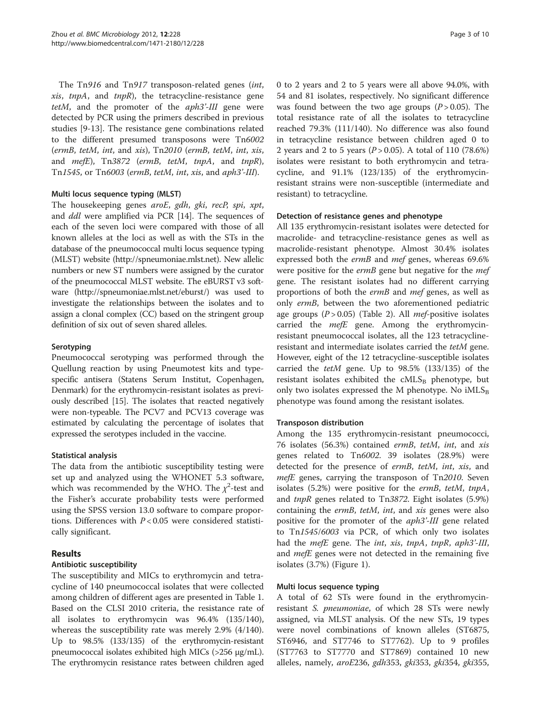The Tn916 and Tn917 transposon-related genes (int,  $xis, *tmpA*, and *tmpR*), the tetracyclic-resistance gene$ tetM, and the promoter of the *aph3'-III* gene were detected by PCR using the primers described in previous studies [[9](#page-8-0)-[13\]](#page-8-0). The resistance gene combinations related to the different presumed transposons were Tn6002 (ermB, tetM, int, and xis), Tn2010 (ermB, tetM, int, xis, and  $mefE$ ), Tn3872 (ermB, tetM, tnpA, and tnpR), Tn1545, or Tn6003 (ermB, tetM, int, xis, and aph3'-III).

### Multi locus sequence typing (MLST)

The housekeeping genes aroE, gdh, gki, recP, spi, xpt, and ddl were amplified via PCR [[14](#page-8-0)]. The sequences of each of the seven loci were compared with those of all known alleles at the loci as well as with the STs in the database of the pneumococcal multi locus sequence typing (MLST) website [\(http://spneumoniae.mlst.net](http://spneumoniae.mlst.net)). New allelic numbers or new ST numbers were assigned by the curator of the pneumococcal MLST website. The eBURST v3 software ([http://spneumoniae.mlst.net/eburst/\)](http://spneumoniae.mlst.net/eburst/) was used to investigate the relationships between the isolates and to assign a clonal complex (CC) based on the stringent group definition of six out of seven shared alleles.

### **Serotyping**

Pneumococcal serotyping was performed through the Quellung reaction by using Pneumotest kits and typespecific antisera (Statens Serum Institut, Copenhagen, Denmark) for the erythromycin-resistant isolates as previously described [\[15](#page-8-0)]. The isolates that reacted negatively were non-typeable. The PCV7 and PCV13 coverage was estimated by calculating the percentage of isolates that expressed the serotypes included in the vaccine.

#### Statistical analysis

The data from the antibiotic susceptibility testing were set up and analyzed using the WHONET 5.3 software, which was recommended by the WHO. The  $\chi^2$ -test and the Fisher's accurate probability tests were performed using the SPSS version 13.0 software to compare proportions. Differences with  $P < 0.05$  were considered statistically significant.

### Results

#### Antibiotic susceptibility

The susceptibility and MICs to erythromycin and tetracycline of 140 pneumococcal isolates that were collected among children of different ages are presented in Table [1](#page-3-0). Based on the CLSI 2010 criteria, the resistance rate of all isolates to erythromycin was 96.4% (135/140), whereas the susceptibility rate was merely 2.9% (4/140). Up to 98.5% (133/135) of the erythromycin-resistant pneumococcal isolates exhibited high MICs (>256 μg/mL). The erythromycin resistance rates between children aged 0 to 2 years and 2 to 5 years were all above 94.0%, with 54 and 81 isolates, respectively. No significant difference was found between the two age groups  $(P > 0.05)$ . The total resistance rate of all the isolates to tetracycline reached 79.3% (111/140). No difference was also found in tetracycline resistance between children aged 0 to 2 years and 2 to 5 years ( $P > 0.05$ ). A total of 110 (78.6%) isolates were resistant to both erythromycin and tetracycline, and 91.1% (123/135) of the erythromycinresistant strains were non-susceptible (intermediate and resistant) to tetracycline.

#### Detection of resistance genes and phenotype

All 135 erythromycin-resistant isolates were detected for macrolide- and tetracycline-resistance genes as well as macrolide-resistant phenotype. Almost 30.4% isolates expressed both the ermB and mef genes, whereas 69.6% were positive for the *ermB* gene but negative for the *mef* gene. The resistant isolates had no different carrying proportions of both the ermB and mef genes, as well as only ermB, between the two aforementioned pediatric age groups  $(P > 0.05)$  (Table [2\)](#page-3-0). All *mef-positive* isolates carried the *mefE* gene. Among the erythromycinresistant pneumococcal isolates, all the 123 tetracyclineresistant and intermediate isolates carried the tetM gene. However, eight of the 12 tetracycline-susceptible isolates carried the tetM gene. Up to 98.5% (133/135) of the resistant isolates exhibited the  $cMLS_B$  phenotype, but only two isolates expressed the M phenotype. No  $iMLS_B$ phenotype was found among the resistant isolates.

#### Transposon distribution

Among the 135 erythromycin-resistant pneumococci, 76 isolates (56.3%) contained ermB, tetM, int, and xis genes related to Tn6002. 39 isolates (28.9%) were detected for the presence of ermB, tetM, int, xis, and mefE genes, carrying the transposon of Tn2010. Seven isolates (5.2%) were positive for the ermB, tetM, tnpA, and tnpR genes related to Tn3872. Eight isolates (5.9%) containing the ermB, tetM, int, and xis genes were also positive for the promoter of the aph3'-III gene related to Tn1545/6003 via PCR, of which only two isolates had the *mefE* gene. The *int*, xis, tnpA, tnpR, aph3'-III, and *mefE* genes were not detected in the remaining five isolates (3.7%) (Figure [1](#page-4-0)).

#### Multi locus sequence typing

A total of 62 STs were found in the erythromycinresistant S. pneumoniae, of which 28 STs were newly assigned, via MLST analysis. Of the new STs, 19 types were novel combinations of known alleles (ST6875, ST6946, and ST7746 to ST7762). Up to 9 profiles (ST7763 to ST7770 and ST7869) contained 10 new alleles, namely, aroE236, gdh353, gki353, gki354, gki355,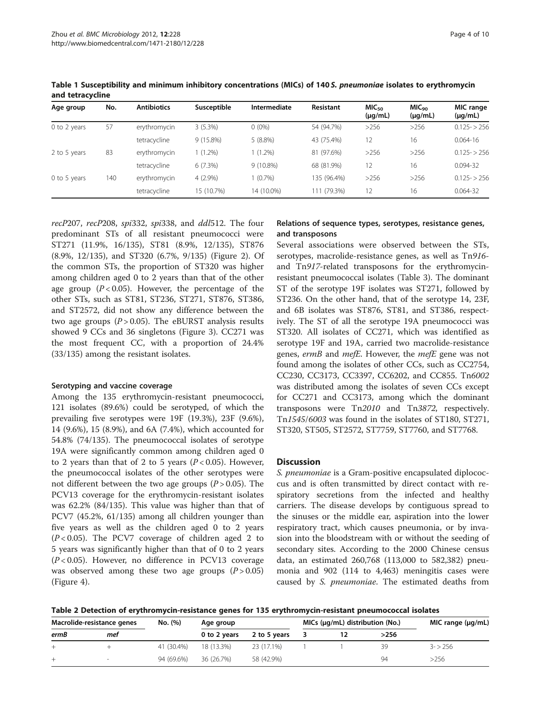| Age group    | No. | <b>Antibiotics</b> | Susceptible | Intermediate | Resistant   | MIC <sub>50</sub><br>$(\mu g/mL)$ | MIC <sub>90</sub><br>$(\mu g/mL)$ | MIC range<br>$(\mu q/mL)$ |
|--------------|-----|--------------------|-------------|--------------|-------------|-----------------------------------|-----------------------------------|---------------------------|
| 0 to 2 years | 57  | erythromycin       | $3(5.3\%)$  | $0(0\%)$     | 54 (94.7%)  | >256                              | >256                              | $0.125 - 256$             |
|              |     | tetracycline       | $9(15.8\%)$ | $5(8.8\%)$   | 43 (75.4%)  | 12                                | 16                                | $0.064 - 16$              |
| 2 to 5 years | 83  | erythromycin       | $1(1.2\%)$  | $(1.2\%)$    | 81 (97.6%)  | >256                              | >256                              | $0.125 - 256$             |
|              |     | tetracycline       | 6(7.3%)     | $9(10.8\%)$  | 68 (81.9%)  | 12                                | 16                                | 0.094-32                  |
| 0 to 5 years | 140 | erythromycin       | $4(2.9\%)$  | $(0.7\%)$    | 135 (96.4%) | >256                              | >256                              | $0.125 - 256$             |
|              |     | tetracycline       | 15 (10.7%)  | 14 (10.0%)   | 11 (79.3%)  | 12                                | 16                                | $0.064 - 32$              |

<span id="page-3-0"></span>Table 1 Susceptibility and minimum inhibitory concentrations (MICs) of 140 S. pneumoniae isolates to erythromycin and tetracycline

recP207, recP208, spi332, spi338, and ddl512. The four predominant STs of all resistant pneumococci were ST271 (11.9%, 16/135), ST81 (8.9%, 12/135), ST876 (8.9%, 12/135), and ST320 (6.7%, 9/135) (Figure [2](#page-4-0)). Of the common STs, the proportion of ST320 was higher among children aged 0 to 2 years than that of the other age group  $(P < 0.05)$ . However, the percentage of the other STs, such as ST81, ST236, ST271, ST876, ST386, and ST2572, did not show any difference between the two age groups  $(P > 0.05)$ . The eBURST analysis results showed 9 CCs and 36 singletons (Figure [3\)](#page-5-0). CC271 was the most frequent CC, with a proportion of 24.4% (33/135) among the resistant isolates.

#### Serotyping and vaccine coverage

Among the 135 erythromycin-resistant pneumococci, 121 isolates (89.6%) could be serotyped, of which the prevailing five serotypes were 19F (19.3%), 23F (9.6%), 14 (9.6%), 15 (8.9%), and 6A (7.4%), which accounted for 54.8% (74/135). The pneumococcal isolates of serotype 19A were significantly common among children aged 0 to 2 years than that of 2 to 5 years  $(P < 0.05)$ . However, the pneumococcal isolates of the other serotypes were not different between the two age groups  $(P > 0.05)$ . The PCV13 coverage for the erythromycin-resistant isolates was 62.2% (84/135). This value was higher than that of PCV7 (45.2%, 61/135) among all children younger than five years as well as the children aged 0 to 2 years  $(P<0.05)$ . The PCV7 coverage of children aged 2 to 5 years was significantly higher than that of 0 to 2 years  $(P<0.05)$ . However, no difference in PCV13 coverage was observed among these two age groups  $(P > 0.05)$ (Figure [4](#page-5-0)).

## Relations of sequence types, serotypes, resistance genes, and transposons

Several associations were observed between the STs, serotypes, macrolide-resistance genes, as well as Tn916 and Tn917-related transposons for the erythromycinresistant pneumococcal isolates (Table [3\)](#page-6-0). The dominant ST of the serotype 19F isolates was ST271, followed by ST236. On the other hand, that of the serotype 14, 23F, and 6B isolates was ST876, ST81, and ST386, respectively. The ST of all the serotype 19A pneumococci was ST320. All isolates of CC271, which was identified as serotype 19F and 19A, carried two macrolide-resistance genes, ermB and mefE. However, the mefE gene was not found among the isolates of other CCs, such as CC2754, CC230, CC3173, CC3397, CC6202, and CC855. Tn6002 was distributed among the isolates of seven CCs except for CC271 and CC3173, among which the dominant transposons were Tn2010 and Tn3872, respectively. Tn1545/6003 was found in the isolates of ST180, ST271, ST320, ST505, ST2572, ST7759, ST7760, and ST7768.

#### **Discussion**

S. pneumoniae is a Gram-positive encapsulated diplococcus and is often transmitted by direct contact with respiratory secretions from the infected and healthy carriers. The disease develops by contiguous spread to the sinuses or the middle ear, aspiration into the lower respiratory tract, which causes pneumonia, or by invasion into the bloodstream with or without the seeding of secondary sites. According to the 2000 Chinese census data, an estimated 260,768 (113,000 to 582,382) pneumonia and 902 (114 to 4,463) meningitis cases were caused by S. pneumoniae. The estimated deaths from

Table 2 Detection of erythromycin-resistance genes for 135 erythromycin-resistant pneumococcal isolates

| Macrolide-resistance genes |     | No. (%)    | Age group    |              | MICs $(\mu q/mL)$ distribution (No.) |  |              | MIC range $(\mu q/mL)$ |
|----------------------------|-----|------------|--------------|--------------|--------------------------------------|--|--------------|------------------------|
| ermB                       | mef |            | 0 to 2 years | 2 to 5 years |                                      |  | >256         |                        |
|                            |     | 41 (30.4%) | 18 (13.3%)   | 23 (17.1%)   |                                      |  |              | $3 - 256$              |
| $\pm$                      |     | 94 (69.6%) | 36 (26.7%)   | 58 (42.9%)   |                                      |  | $Q_{\Delta}$ | >256                   |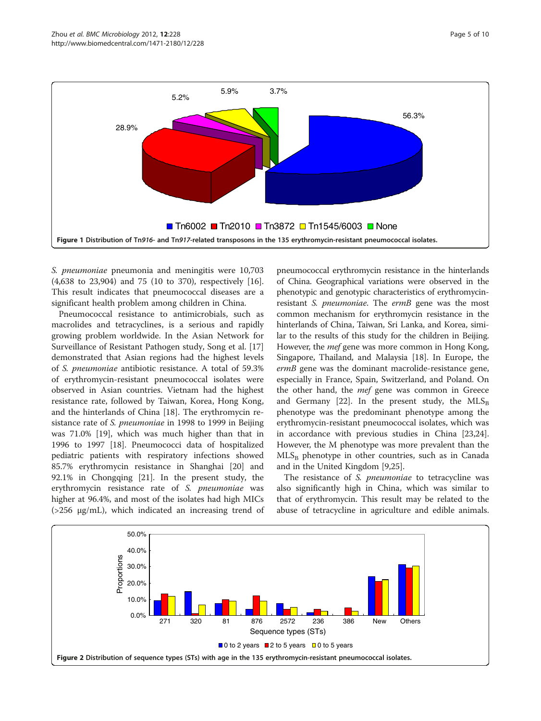<span id="page-4-0"></span>

S. pneumoniae pneumonia and meningitis were 10,703 (4,638 to 23,904) and 75 (10 to 370), respectively [\[16](#page-8-0)]. This result indicates that pneumococcal diseases are a significant health problem among children in China.

Pneumococcal resistance to antimicrobials, such as macrolides and tetracyclines, is a serious and rapidly growing problem worldwide. In the Asian Network for Surveillance of Resistant Pathogen study, Song et al. [[17](#page-8-0)] demonstrated that Asian regions had the highest levels of S. pneumoniae antibiotic resistance. A total of 59.3% of erythromycin-resistant pneumococcal isolates were observed in Asian countries. Vietnam had the highest resistance rate, followed by Taiwan, Korea, Hong Kong, and the hinterlands of China [[18\]](#page-8-0). The erythromycin resistance rate of S. pneumoniae in 1998 to 1999 in Beijing was 71.0% [[19\]](#page-8-0), which was much higher than that in 1996 to 1997 [\[18\]](#page-8-0). Pneumococci data of hospitalized pediatric patients with respiratory infections showed 85.7% erythromycin resistance in Shanghai [\[20\]](#page-8-0) and 92.1% in Chongqing [\[21](#page-8-0)]. In the present study, the erythromycin resistance rate of S. pneumoniae was higher at 96.4%, and most of the isolates had high MICs (>256 μg/mL), which indicated an increasing trend of

pneumococcal erythromycin resistance in the hinterlands of China. Geographical variations were observed in the phenotypic and genotypic characteristics of erythromycinresistant S. *pneumoniae*. The ermB gene was the most common mechanism for erythromycin resistance in the hinterlands of China, Taiwan, Sri Lanka, and Korea, similar to the results of this study for the children in Beijing. However, the mef gene was more common in Hong Kong, Singapore, Thailand, and Malaysia [[18\]](#page-8-0). In Europe, the ermB gene was the dominant macrolide-resistance gene, especially in France, Spain, Switzerland, and Poland. On the other hand, the *mef* gene was common in Greece and Germany [\[22\]](#page-8-0). In the present study, the  $MLS_B$ phenotype was the predominant phenotype among the erythromycin-resistant pneumococcal isolates, which was in accordance with previous studies in China [[23](#page-8-0),[24](#page-8-0)]. However, the M phenotype was more prevalent than the  $MLS_B$  phenotype in other countries, such as in Canada and in the United Kingdom [\[9,25](#page-8-0)].

The resistance of *S. pneumoniae* to tetracycline was also significantly high in China, which was similar to that of erythromycin. This result may be related to the abuse of tetracycline in agriculture and edible animals.

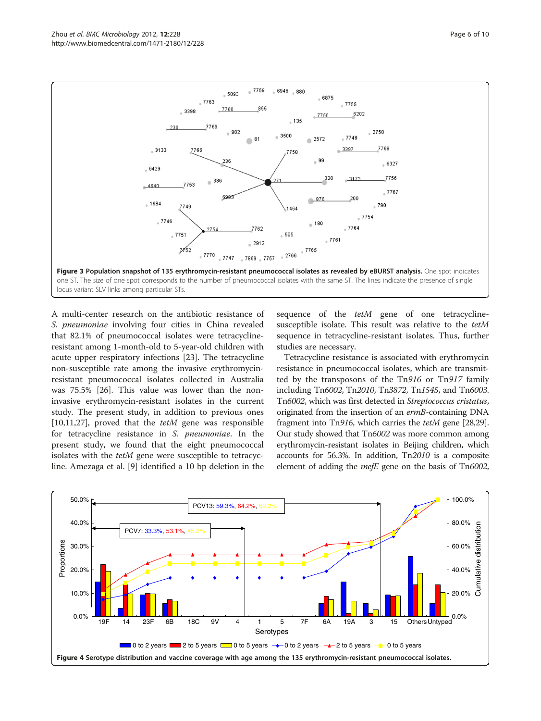<span id="page-5-0"></span>

A multi-center research on the antibiotic resistance of S. pneumoniae involving four cities in China revealed that 82.1% of pneumococcal isolates were tetracyclineresistant among 1-month-old to 5-year-old children with acute upper respiratory infections [[23](#page-8-0)]. The tetracycline non-susceptible rate among the invasive erythromycinresistant pneumococcal isolates collected in Australia was 75.5% [[26](#page-8-0)]. This value was lower than the noninvasive erythromycin-resistant isolates in the current study. The present study, in addition to previous ones [[10,11,27\]](#page-8-0), proved that the  $tetM$  gene was responsible for tetracycline resistance in S. pneumoniae. In the present study, we found that the eight pneumococcal isolates with the tetM gene were susceptible to tetracycline. Amezaga et al. [[9\]](#page-8-0) identified a 10 bp deletion in the

sequence of the *tetM* gene of one tetracyclinesusceptible isolate. This result was relative to the tetM sequence in tetracycline-resistant isolates. Thus, further studies are necessary.

Tetracycline resistance is associated with erythromycin resistance in pneumococcal isolates, which are transmitted by the transposons of the Tn916 or Tn917 family including Tn6002, Tn2010, Tn3872, Tn1545, and Tn6003. Tn6002, which was first detected in Streptococcus cristatus, originated from the insertion of an ermB-containing DNA fragment into Tn916, which carries the tetM gene [\[28,29](#page-8-0)]. Our study showed that Tn6002 was more common among erythromycin-resistant isolates in Beijing children, which accounts for 56.3%. In addition, Tn2010 is a composite element of adding the *mefE* gene on the basis of Tn6002,

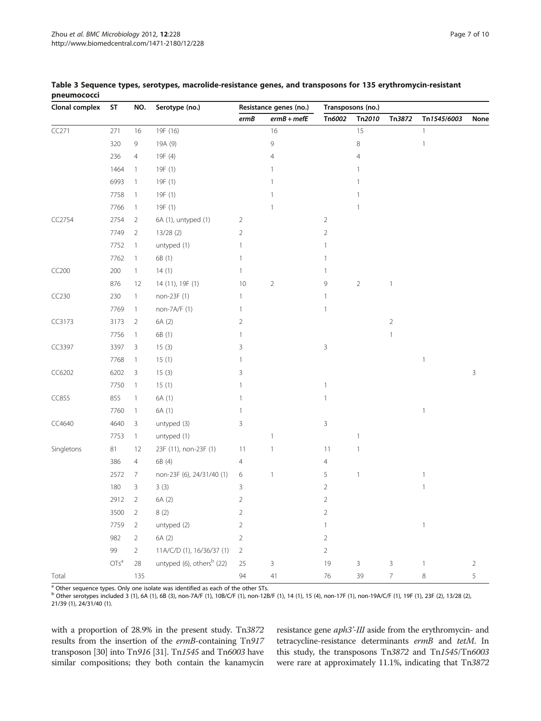| Clonal complex | ST      | NO.            | Serotype (no.)                        | Resistance genes (no.) |                | Transposons (no.) |                |                |              |            |
|----------------|---------|----------------|---------------------------------------|------------------------|----------------|-------------------|----------------|----------------|--------------|------------|
|                |         |                |                                       | ermB                   | $ermB + mefE$  | Tn6002            | Tn2010         | Tn3872         | Tn1545/6003  | None       |
| CC271          | 271     | 16             | 19F (16)                              |                        | 16             |                   | 15             |                | $\mathbf{1}$ |            |
|                | 320     | 9              | 19A (9)                               |                        | 9              |                   | 8              |                | $\mathbf{1}$ |            |
|                | 236     | $\overline{4}$ | 19F (4)                               |                        | $\overline{4}$ |                   | 4              |                |              |            |
|                | 1464    | $\mathbf{1}$   | 19F (1)                               |                        | 1              |                   | 1              |                |              |            |
|                | 6993    | $\mathbf{1}$   | 19F (1)                               |                        | 1              |                   | 1              |                |              |            |
|                | 7758    | $\mathbf{1}$   | 19F (1)                               |                        | 1              |                   |                |                |              |            |
|                | 7766    | $\mathbf{1}$   | 19F (1)                               |                        | 1              |                   | -1             |                |              |            |
| CC2754         | 2754    | $\overline{2}$ | 6A (1), untyped (1)                   | 2                      |                | $\overline{2}$    |                |                |              |            |
|                | 7749    | 2              | 13/28(2)                              | $\overline{2}$         |                | $\overline{2}$    |                |                |              |            |
|                | 7752    | $\mathbf{1}$   | untyped (1)                           | 1                      |                | $\mathbf{1}$      |                |                |              |            |
|                | 7762    | $\mathbf{1}$   | 6B (1)                                | 1                      |                | 1                 |                |                |              |            |
| CC200          | 200     | $\mathbf{1}$   | 14(1)                                 | 1                      |                | 1                 |                |                |              |            |
|                | 876     | 12             | 14 (11), 19F (1)                      | 10                     | $\overline{2}$ | 9                 | $\overline{2}$ | $\mathbf{1}$   |              |            |
| CC230          | 230     | $\mathbf{1}$   | non-23F (1)                           | 1                      |                | 1                 |                |                |              |            |
|                | 7769    | $\mathbf{1}$   | non-7A/F (1)                          | 1                      |                | $\mathbf{1}$      |                |                |              |            |
| CC3173         | 3173    | $\overline{2}$ | 6A (2)                                | 2                      |                |                   |                | $\overline{2}$ |              |            |
|                | 7756    | $\mathbf{1}$   | 6B (1)                                | 1                      |                |                   |                | $\mathbf{1}$   |              |            |
| CC3397         | 3397    | 3              | 15(3)                                 | 3                      |                | 3                 |                |                |              |            |
|                | 7768    | $\mathbf{1}$   | 15(1)                                 | 1                      |                |                   |                |                | $\mathbf{1}$ |            |
| CC6202         | 6202    | $\mathsf{3}$   | 15(3)                                 | 3                      |                |                   |                |                |              | 3          |
|                | 7750    | $\mathbf{1}$   | 15(1)                                 |                        |                | $\mathbf{1}$      |                |                |              |            |
| CC855          | 855     | $\mathbf{1}$   | 6A (1)                                | 1                      |                | $\mathbf{1}$      |                |                |              |            |
|                | 7760    | $\mathbf{1}$   | 6A (1)                                | 1                      |                |                   |                |                | $\mathbf{1}$ |            |
| CC4640         | 4640    | 3              | untyped (3)                           | 3                      |                | 3                 |                |                |              |            |
|                | 7753    | $\mathbf{1}$   | untyped (1)                           |                        | $\overline{1}$ |                   | 1              |                |              |            |
| Singletons     | 81      | 12             | 23F (11), non-23F (1)                 | 11                     | $\overline{1}$ | 11                | $\mathbf{1}$   |                |              |            |
|                | 386     | $\overline{4}$ | 6B (4)                                | 4                      |                | $\overline{4}$    |                |                |              |            |
|                | 2572    | 7              | non-23F (6), 24/31/40 (1)             | 6                      | $\mathbf{1}$   | 5                 | $\mathbf{1}$   |                | $\mathbf{1}$ |            |
|                | 180     | 3              | 3(3)                                  | 3                      |                | $\overline{2}$    |                |                | $\mathbf{1}$ |            |
|                | 2912    | $\overline{2}$ | 6A (2)                                | $\overline{2}$         |                | $\overline{2}$    |                |                |              |            |
|                | 3500    | $\overline{2}$ | 8(2)                                  | 2                      |                | 2                 |                |                |              |            |
|                | 7759    | $\sqrt{2}$     | untyped (2)                           | 2                      |                | 1                 |                |                | $\mathbf{1}$ |            |
|                | 982     | $\overline{2}$ | 6A (2)                                | $\overline{2}$         |                | $\overline{2}$    |                |                |              |            |
|                | 99      | $\overline{2}$ | 11A/C/D (1), 16/36/37 (1)             | $\overline{2}$         |                | $\overline{2}$    |                |                |              |            |
|                | $OTs^a$ | 28             | untyped (6), others <sup>b</sup> (22) | 25                     | 3              | 19                | $\mathsf{3}$   | 3              | $\mathbf{1}$ | $\sqrt{2}$ |
| Total          |         | 135            |                                       | 94                     | $41\,$         | 76                | 39             | $\overline{7}$ | $\,8\,$      | $\sqrt{5}$ |

#### <span id="page-6-0"></span>Table 3 Sequence types, serotypes, macrolide-resistance genes, and transposons for 135 erythromycin-resistant pneumococci

<sup>a</sup> Other sequence types. Only one isolate was identified as each of the other STs.

<sup>b</sup> Other serotypes included 3 (1), 6A (1), 6B (3), non-7A/F (1), 10B/C/F (1), non-12B/F (1), 14 (1), 15 (4), non-17F (1), non-19A/C/F (1), 19F (1), 23F (2), 13/28 (2), 21/39 (1), 24/31/40 (1).

with a proportion of 28.9% in the present study. Tn3872 results from the insertion of the ermB-containing Tn917 transposon [\[30\]](#page-8-0) into Tn916 [\[31\]](#page-8-0). Tn1545 and Tn6003 have similar compositions; they both contain the kanamycin

resistance gene aph3'-III aside from the erythromycin- and tetracycline-resistance determinants ermB and tetM. In this study, the transposons Tn3872 and Tn1545/Tn6003 were rare at approximately 11.1%, indicating that Tn3872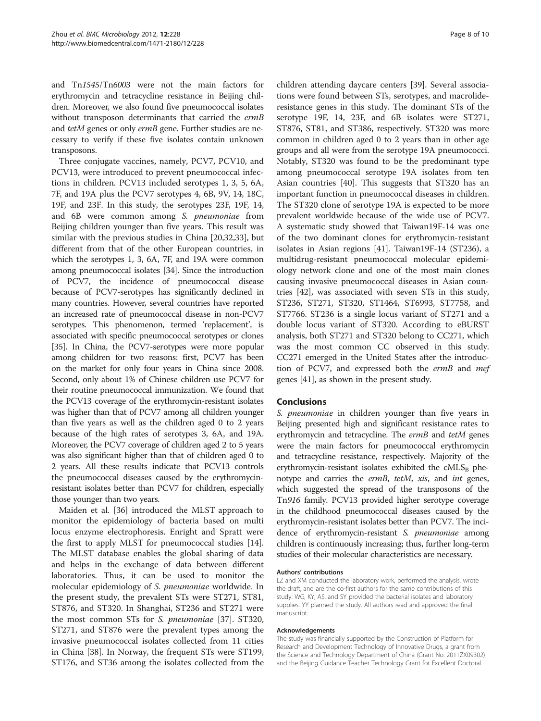and Tn1545/Tn6003 were not the main factors for erythromycin and tetracycline resistance in Beijing children. Moreover, we also found five pneumococcal isolates without transposon determinants that carried the ermB and tetM genes or only ermB gene. Further studies are necessary to verify if these five isolates contain unknown transposons.

Three conjugate vaccines, namely, PCV7, PCV10, and PCV13, were introduced to prevent pneumococcal infections in children. PCV13 included serotypes 1, 3, 5, 6A, 7F, and 19A plus the PCV7 serotypes 4, 6B, 9V, 14, 18C, 19F, and 23F. In this study, the serotypes 23F, 19F, 14, and 6B were common among S. pneumoniae from Beijing children younger than five years. This result was similar with the previous studies in China [[20,32,33\]](#page-8-0), but different from that of the other European countries, in which the serotypes 1, 3, 6A, 7F, and 19A were common among pneumococcal isolates [[34](#page-8-0)]. Since the introduction of PCV7, the incidence of pneumococcal disease because of PCV7-serotypes has significantly declined in many countries. However, several countries have reported an increased rate of pneumococcal disease in non-PCV7 serotypes. This phenomenon, termed 'replacement', is associated with specific pneumococcal serotypes or clones [[35](#page-8-0)]. In China, the PCV7-serotypes were more popular among children for two reasons: first, PCV7 has been on the market for only four years in China since 2008. Second, only about 1% of Chinese children use PCV7 for their routine pneumococcal immunization. We found that the PCV13 coverage of the erythromycin-resistant isolates was higher than that of PCV7 among all children younger than five years as well as the children aged 0 to 2 years because of the high rates of serotypes 3, 6A, and 19A. Moreover, the PCV7 coverage of children aged 2 to 5 years was also significant higher than that of children aged 0 to 2 years. All these results indicate that PCV13 controls the pneumococcal diseases caused by the erythromycinresistant isolates better than PCV7 for children, especially those younger than two years.

Maiden et al. [\[36\]](#page-8-0) introduced the MLST approach to monitor the epidemiology of bacteria based on multi locus enzyme electrophoresis. Enright and Spratt were the first to apply MLST for pneumococcal studies [\[14](#page-8-0)]. The MLST database enables the global sharing of data and helps in the exchange of data between different laboratories. Thus, it can be used to monitor the molecular epidemiology of S. pneumoniae worldwide. In the present study, the prevalent STs were ST271, ST81, ST876, and ST320. In Shanghai, ST236 and ST271 were the most common STs for S. pneumoniae [[37](#page-8-0)]. ST320, ST271, and ST876 were the prevalent types among the invasive pneumococcal isolates collected from 11 cities in China [\[38\]](#page-9-0). In Norway, the frequent STs were ST199, ST176, and ST36 among the isolates collected from the

children attending daycare centers [[39\]](#page-9-0). Several associations were found between STs, serotypes, and macrolideresistance genes in this study. The dominant STs of the serotype 19F, 14, 23F, and 6B isolates were ST271, ST876, ST81, and ST386, respectively. ST320 was more common in children aged 0 to 2 years than in other age groups and all were from the serotype 19A pneumococci. Notably, ST320 was found to be the predominant type among pneumococcal serotype 19A isolates from ten Asian countries [\[40\]](#page-9-0). This suggests that ST320 has an important function in pneumococcal diseases in children. The ST320 clone of serotype 19A is expected to be more prevalent worldwide because of the wide use of PCV7. A systematic study showed that Taiwan19F-14 was one of the two dominant clones for erythromycin-resistant isolates in Asian regions [[41\]](#page-9-0). Taiwan19F-14 (ST236), a multidrug-resistant pneumococcal molecular epidemiology network clone and one of the most main clones causing invasive pneumococcal diseases in Asian countries [[42\]](#page-9-0), was associated with seven STs in this study, ST236, ST271, ST320, ST1464, ST6993, ST7758, and ST7766. ST236 is a single locus variant of ST271 and a double locus variant of ST320. According to eBURST analysis, both ST271 and ST320 belong to CC271, which was the most common CC observed in this study. CC271 emerged in the United States after the introduction of PCV7, and expressed both the ermB and mef genes [\[41](#page-9-0)], as shown in the present study.

#### Conclusions

S. *pneumoniae* in children younger than five years in Beijing presented high and significant resistance rates to erythromycin and tetracycline. The ermB and tetM genes were the main factors for pneumococcal erythromycin and tetracycline resistance, respectively. Majority of the erythromycin-resistant isolates exhibited the  $\text{cMLS}_{\text{B}}$  phenotype and carries the ermB, tetM, xis, and int genes, which suggested the spread of the transposons of the Tn916 family. PCV13 provided higher serotype coverage in the childhood pneumococcal diseases caused by the erythromycin-resistant isolates better than PCV7. The incidence of erythromycin-resistant S. pneumoniae among children is continuously increasing; thus, further long-term studies of their molecular characteristics are necessary.

#### Authors' contributions

LZ and XM conducted the laboratory work, performed the analysis, wrote the draft, and are the co-first authors for the same contributions of this study. WG, KY, AS, and SY provided the bacterial isolates and laboratory supplies. YY planned the study. All authors read and approved the final manuscript.

#### Acknowledgements

The study was financially supported by the Construction of Platform for Research and Development Technology of Innovative Drugs, a grant from the Science and Technology Department of China (Grant No. 2011ZX09302) and the Beijing Guidance Teacher Technology Grant for Excellent Doctoral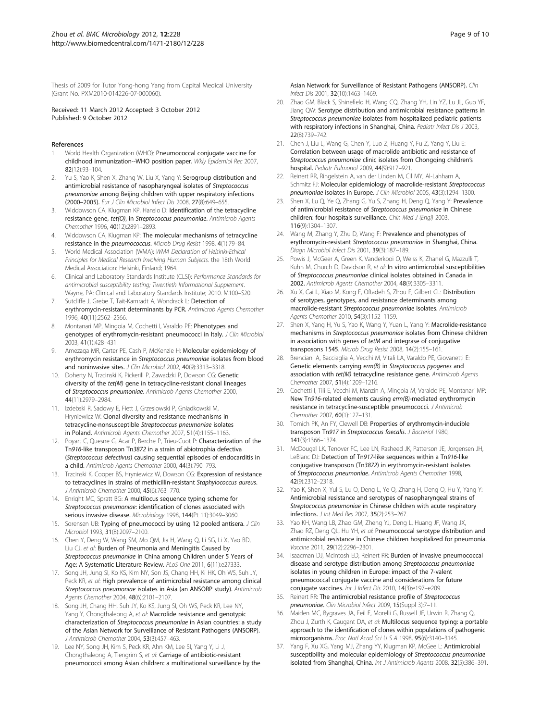<span id="page-8-0"></span>Thesis of 2009 for Tutor Yong-hong Yang from Capital Medical University (Grant No. PXM2010-014226-07-000060).

Received: 11 March 2012 Accepted: 3 October 2012 Published: 9 October 2012

#### References

- World Health Organization (WHO): Pneumococcal conjugate vaccine for childhood immunization--WHO position paper. Wkly Epidemiol Rec 2007, 82(12):93–104.
- Yu S, Yao K, Shen X, Zhang W, Liu X, Yang Y: Serogroup distribution and antimicrobial resistance of nasopharyngeal isolates of Streptococcus pneumoniae among Beijing children with upper respiratory infections (2000–2005). Eur J Clin Microbiol Infect Dis 2008, 27(8):649–655.
- 3. Widdowson CA, Klugman KP, Hanslo D: Identification of the tetracycline resistance gene, tet(O), in Streptococcus pneumoniae. Antimicrob Agents Chemother 1996, 40(12):2891–2893.
- Widdowson CA, Klugman KP: The molecular mechanisms of tetracycline resistance in the pneumococcus. Microb Drug Resist 1998, 4(1):79–84.
- 5. World Medical Association (WMA): WMA Declaration of Helsinki-Ethical Principles for Medical Research Involving Human Subjects. the 18th World Medical Association: Helsinki, Finland; 1964.
- 6. Clinical and Laboratory Standards Institute (CLSI): Performance Standards for antimicrobial susceptibility testing; Twentieth Informational Supplement. Wayne, PA: Clinical and Laboratory Standards Institute; 2010. M100–S20.
- 7. Sutcliffe J, Grebe T, Tait-Kamradt A, Wondrack L: Detection of erythromycin-resistant determinants by PCR. Antimicrob Agents Chemother 1996, 40(11):2562–2566.
- 8. Montanari MP, Mingoia M, Cochetti I, Varaldo PE: Phenotypes and genotypes of erythromycin-resistant pneumococci in Italy. J Clin Microbiol 2003, 41(1):428–431.
- Amezaga MR, Carter PE, Cash P, McKenzie H: Molecular epidemiology of erythromycin resistance in Streptococcus pneumoniae isolates from blood and noninvasive sites. J Clin Microbiol 2002, 40(9):3313-3318.
- 10. Doherty N, Trzcinski K, Pickerill P, Zawadzki P, Dowson CG: Genetic diversity of the tet(M) gene in tetracycline-resistant clonal lineages of Streptococcus pneumoniae. Antimicrob Agents Chemother 2000, 44(11):2979–2984.
- 11. Izdebski R, Sadowy E, Fiett J, Grzesiowski P, Gniadkowski M, Hryniewicz W: Clonal diversity and resistance mechanisms in tetracycline-nonsusceptible Streptococcus pneumoniae isolates in Poland. Antimicrob Agents Chemother 2007, 51(4):1155–1163.
- 12. Poyart C, Quesne G, Acar P, Berche P, Trieu-Cuot P: Characterization of the Tn916-like transposon Tn3872 in a strain of abiotrophia defectiva (Streptococcus defectivus) causing sequential episodes of endocarditis in a child. Antimicrob Agents Chemother 2000, 44(3):790–793.
- 13. Trzcinski K, Cooper BS, Hryniewicz W, Dowson CG: Expression of resistance to tetracyclines in strains of methicillin-resistant Staphylococcus aureus. J Antimicrob Chemother 2000, 45(6):763–770.
- 14. Enright MC, Spratt BG: A multilocus sequence typing scheme for Streptococcus pneumoniae: identification of clones associated with serious invasive disease. Microbiology 1998, 144(Pt 11):3049–3060.
- 15. Sorensen UB: Typing of pneumococci by using 12 pooled antisera. J Clin Microbiol 1993, 31(8):2097–2100.
- 16. Chen Y, Deng W, Wang SM, Mo QM, Jia H, Wang Q, Li SG, Li X, Yao BD, Liu CJ, et al: Burden of Pneumonia and Meningitis Caused by Streptococcus pneumoniae in China among Children under 5 Years of Age: A Systematic Literature Review. PLoS One 2011, 6(11):e27333.
- 17. Song JH, Jung SI, Ko KS, Kim NY, Son JS, Chang HH, Ki HK, Oh WS, Suh JY, Peck KR, et al: High prevalence of antimicrobial resistance among clinical Streptococcus pneumoniae isolates in Asia (an ANSORP study). Antimicrob Agents Chemother 2004, 48(6):2101–2107.
- 18. Song JH, Chang HH, Suh JY, Ko KS, Jung SI, Oh WS, Peck KR, Lee NY, Yang Y, Chongthaleong A, et al: Macrolide resistance and genotypic characterization of Streptococcus pneumoniae in Asian countries: a study of the Asian Network for Surveillance of Resistant Pathogens (ANSORP). J Antimicrob Chemother 2004, 53(3):457–463.
- 19. Lee NY, Song JH, Kim S, Peck KR, Ahn KM, Lee SI, Yang Y, Li J, Chongthaleong A, Tiengrim S, et al: Carriage of antibiotic-resistant pneumococci among Asian children: a multinational surveillance by the

Asian Network for Surveillance of Resistant Pathogens (ANSORP). Clin Infect Dis 2001, 32(10):1463–1469.

- 20. Zhao GM, Black S, Shinefield H, Wang CQ, Zhang YH, Lin YZ, Lu JL, Guo YF, Jiang QW: Serotype distribution and antimicrobial resistance patterns in Streptococcus pneumoniae isolates from hospitalized pediatric patients with respiratory infections in Shanghai, China. Pediatr Infect Dis J 2003, 22(8):739–742.
- 21. Chen J, Liu L, Wang G, Chen Y, Luo Z, Huang Y, Fu Z, Yang Y, Liu E: Correlation between usage of macrolide antibiotic and resistance of Streptococcus pneumoniae clinic isolates from Chongqing children's hospital. Pediatr Pulmonol 2009, 44(9):917–921.
- 22. Reinert RR, Ringelstein A, van der Linden M, Cil MY, Al-Lahham A, Schmitz FJ: Molecular epidemiology of macrolide-resistant Streptococcus pneumoniae isolates in Europe. J Clin Microbiol 2005, 43(3):1294–1300.
- 23. Shen X, Lu Q, Ye Q, Zhang G, Yu S, Zhang H, Deng Q, Yang Y: Prevalence of antimicrobial resistance of Streptococcus pneumoniae in Chinese children: four hospitals surveillance. Chin Med J (Engl) 2003, 116(9):1304–1307.
- 24. Wang M, Zhang Y, Zhu D, Wang F: Prevalence and phenotypes of erythromycin-resistant Streptococcus pneumoniae in Shanghai, China. Diagn Microbiol Infect Dis 2001, 39(3):187–189.
- 25. Powis J, McGeer A, Green K, Vanderkooi O, Weiss K, Zhanel G, Mazzulli T, Kuhn M, Church D, Davidson R, et al: In vitro antimicrobial susceptibilities of Streptococcus pneumoniae clinical isolates obtained in Canada in 2002. Antimicrob Agents Chemother 2004, 48(9):3305–3311.
- 26. Xu X, Cai L, Xiao M, Kong F, Oftadeh S, Zhou F, Gilbert GL: Distribution of serotypes, genotypes, and resistance determinants among macrolide-resistant Streptococcus pneumoniae isolates. Antimicrob Agents Chemother 2010, 54(3):1152-1159.
- 27. Shen X, Yang H, Yu S, Yao K, Wang Y, Yuan L, Yang Y: Macrolide-resistance mechanisms in Streptococcus pneumoniae isolates from Chinese children in association with genes of tetM and integrase of conjugative transposons 1545. Microb Drug Resist 2008, 14(2):155–161.
- 28. Brenciani A, Bacciaglia A, Vecchi M, Vitali LA, Varaldo PE, Giovanetti E: Genetic elements carrying erm(B) in Streptococcus pyogenes and association with tet(M) tetracycline resistance gene. Antimicrob Agents Chemother 2007, 51(4):1209–1216.
- 29. Cochetti I, Tili E, Vecchi M, Manzin A, Mingoia M, Varaldo PE, Montanari MP: New Tn916-related elements causing erm(B)-mediated erythromycin resistance in tetracycline-susceptible pneumococci. J Antimicrob Chemother 2007, 60(1):127–131.
- 30. Tomich PK, An FY, Clewell DB: Properties of erythromycin-inducible transposon Tn917 in Streptococcus faecalis. J Bacteriol 1980, 141(3):1366–1374.
- 31. McDougal LK, Tenover FC, Lee LN, Rasheed JK, Patterson JE, Jorgensen JH, LeBlanc DJ: Detection of Tn917-like sequences within a Tn916-like conjugative transposon (Tn3872) in erythromycin-resistant isolates of Streptococcus pneumoniae. Antimicrob Agents Chemother 1998, 42(9):2312–2318.
- 32. Yao K, Shen X, Yul S, Lu Q, Deng L, Ye Q, Zhang H, Deng Q, Hu Y, Yang Y: Antimicrobial resistance and serotypes of nasopharyngeal strains of Streptococcus pneumoniae in Chinese children with acute respiratory infections. J Int Med Res 2007, 35(2):253–267.
- 33. Yao KH, Wang LB, Zhao GM, Zheng YJ, Deng L, Huang JF, Wang JX, Zhao RZ, Deng QL, Hu YH, et al: Pneumococcal serotype distribution and antimicrobial resistance in Chinese children hospitalized for pneumonia. Vaccine 2011, 29(12):2296–2301.
- 34. Isaacman DJ, McIntosh ED, Reinert RR: Burden of invasive pneumococcal disease and serotype distribution among Streptococcus pneumoniae isolates in young children in Europe: impact of the 7-valent pneumococcal conjugate vaccine and considerations for future conjugate vaccines. Int J Infect Dis 2010, 14(3):e197–e209.
- 35. Reinert RR: The antimicrobial resistance profile of Streptococcus pneumoniae. Clin Microbiol Infect 2009, 15(Suppl 3):7–11.
- 36. Maiden MC, Bygraves JA, Feil E, Morelli G, Russell JE, Urwin R, Zhang Q, Zhou J, Zurth K, Caugant DA, et al: Multilocus sequence typing: a portable approach to the identification of clones within populations of pathogenic microorganisms. Proc Natl Acad Sci U S A 1998, 95(6):3140–3145.
- 37. Yang F, Xu XG, Yang MJ, Zhang YY, Klugman KP, McGee L: Antimicrobial susceptibility and molecular epidemiology of Streptococcus pneumoniae isolated from Shanghai, China. Int J Antimicrob Agents 2008, 32(5):386–391.